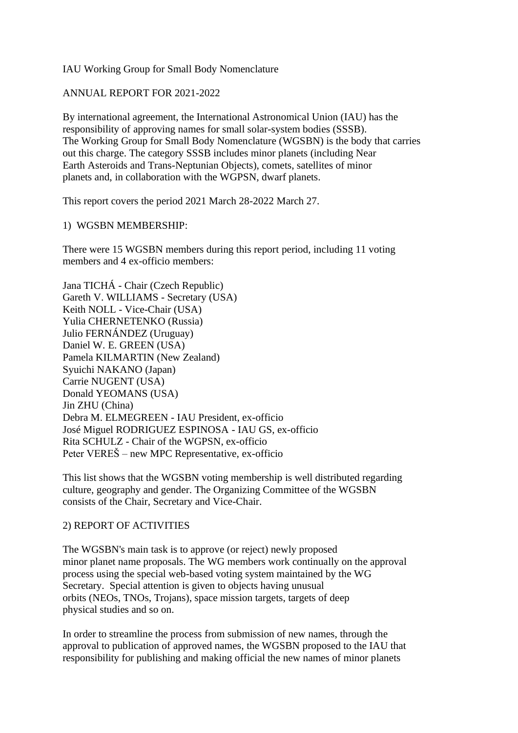IAU Working Group for Small Body Nomenclature

ANNUAL REPORT FOR 2021-2022

By international agreement, the International Astronomical Union (IAU) has the responsibility of approving names for small solar-system bodies (SSSB). The Working Group for Small Body Nomenclature (WGSBN) is the body that carries out this charge. The category SSSB includes minor planets (including Near Earth Asteroids and Trans-Neptunian Objects), comets, satellites of minor planets and, in collaboration with the WGPSN, dwarf planets.

This report covers the period 2021 March 28-2022 March 27.

## 1) WGSBN MEMBERSHIP:

There were 15 WGSBN members during this report period, including 11 voting members and 4 ex-officio members:

Jana TICHÁ - Chair (Czech Republic) Gareth V. WILLIAMS - Secretary (USA) Keith NOLL - Vice-Chair (USA) Yulia CHERNETENKO (Russia) Julio FERNÁNDEZ (Uruguay) Daniel W. E. GREEN (USA) Pamela KILMARTIN (New Zealand) Syuichi NAKANO (Japan) Carrie NUGENT (USA) Donald YEOMANS (USA) Jin ZHU (China) Debra M. ELMEGREEN - IAU President, ex-officio José Miguel RODRIGUEZ ESPINOSA - IAU GS, ex-officio Rita SCHULZ - Chair of the WGPSN, ex-officio Peter VEREŠ – new MPC Representative, ex-officio

This list shows that the WGSBN voting membership is well distributed regarding culture, geography and gender. The Organizing Committee of the WGSBN consists of the Chair, Secretary and Vice-Chair.

## 2) REPORT OF ACTIVITIES

The WGSBN's main task is to approve (or reject) newly proposed minor planet name proposals. The WG members work continually on the approval process using the special web-based voting system maintained by the WG Secretary. Special attention is given to objects having unusual orbits (NEOs, TNOs, Trojans), space mission targets, targets of deep physical studies and so on.

In order to streamline the process from submission of new names, through the approval to publication of approved names, the WGSBN proposed to the IAU that responsibility for publishing and making official the new names of minor planets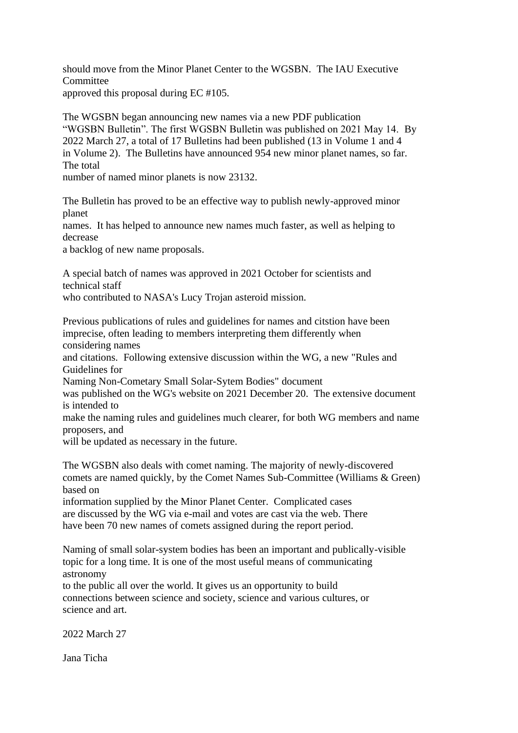should move from the Minor Planet Center to the WGSBN. The IAU Executive **Committee** 

approved this proposal during EC #105.

The WGSBN began announcing new names via a new PDF publication "WGSBN Bulletin". The first WGSBN Bulletin was published on 2021 May 14. By 2022 March 27, a total of 17 Bulletins had been published (13 in Volume 1 and 4 in Volume 2). The Bulletins have announced 954 new minor planet names, so far. The total

number of named minor planets is now 23132.

The Bulletin has proved to be an effective way to publish newly-approved minor planet

names. It has helped to announce new names much faster, as well as helping to decrease

a backlog of new name proposals.

A special batch of names was approved in 2021 October for scientists and technical staff

who contributed to NASA's Lucy Trojan asteroid mission.

Previous publications of rules and guidelines for names and citstion have been imprecise, often leading to members interpreting them differently when considering names

and citations. Following extensive discussion within the WG, a new "Rules and Guidelines for

Naming Non-Cometary Small Solar-Sytem Bodies" document

was published on the WG's website on 2021 December 20. The extensive document is intended to

make the naming rules and guidelines much clearer, for both WG members and name proposers, and

will be updated as necessary in the future.

The WGSBN also deals with comet naming. The majority of newly-discovered comets are named quickly, by the Comet Names Sub-Committee (Williams & Green) based on

information supplied by the Minor Planet Center. Complicated cases are discussed by the WG via e-mail and votes are cast via the web. There have been 70 new names of comets assigned during the report period.

Naming of small solar-system bodies has been an important and publically-visible topic for a long time. It is one of the most useful means of communicating astronomy

to the public all over the world. It gives us an opportunity to build connections between science and society, science and various cultures, or science and art.

2022 March 27

Jana Ticha